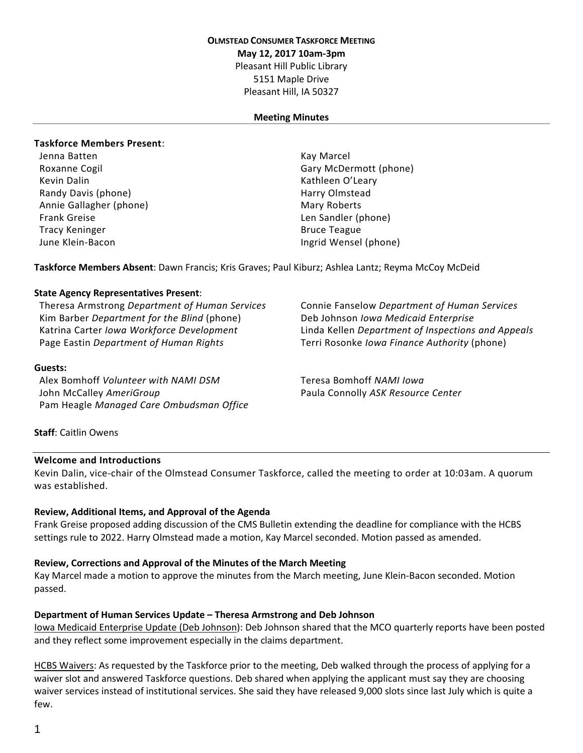### **OLMSTEAD CONSUMER TASKFORCE MEETING**

**May 12, 2017 10am-3pm**

Pleasant Hill Public Library

5151 Maple Drive Pleasant Hill, IA 50327

### **Meeting Minutes**

### **Taskforce Members Present**:

Jenna Batten Kay Marcel Kevin Dalin **Kathleen O'Leary** Kathleen O'Leary Randy Davis (phone) **Harry Olmstead** Harry Olmstead Annie Gallagher (phone) and the Mary Roberts of Mary Roberts Frank Greise Len Sandler (phone) Tracy Keninger **Bruce Teague** Bruce Teague June Klein-Bacon Ingrid Wensel (phone)

Roxanne Cogil Gary McDermott (phone)

**Taskforce Members Absent**: Dawn Francis; Kris Graves; Paul Kiburz; Ashlea Lantz; Reyma McCoy McDeid

### **State Agency Representatives Present**:

Theresa Armstrong *Department of Human Services* Connie Fanselow *Department of Human Services* Kim Barber *Department for the Blind* (phone) Deb Johnson *Iowa Medicaid Enterprise* Page Eastin *Department of Human Rights* Terri Rosonke *Iowa Finance Authority* (phone)

### **Guests:**

Alex Bomhoff *Volunteer with NAMI DSM* Teresa Bomhoff *NAMI Iowa* John McCalley *AmeriGroup* Paula Connolly *ASK Resource Center* Pam Heagle *Managed Care Ombudsman Office*

Katrina Carter *Iowa Workforce Development* Linda Kellen *Department of Inspections and Appeals*

**Staff**: Caitlin Owens

### **Welcome and Introductions**

Kevin Dalin, vice-chair of the Olmstead Consumer Taskforce, called the meeting to order at 10:03am. A quorum was established.

### **Review, Additional Items, and Approval of the Agenda**

Frank Greise proposed adding discussion of the CMS Bulletin extending the deadline for compliance with the HCBS settings rule to 2022. Harry Olmstead made a motion, Kay Marcel seconded. Motion passed as amended.

### **Review, Corrections and Approval of the Minutes of the March Meeting**

Kay Marcel made a motion to approve the minutes from the March meeting, June Klein-Bacon seconded. Motion passed.

### **Department of Human Services Update – Theresa Armstrong and Deb Johnson**

Iowa Medicaid Enterprise Update (Deb Johnson): Deb Johnson shared that the MCO quarterly reports have been posted and they reflect some improvement especially in the claims department.

HCBS Waivers: As requested by the Taskforce prior to the meeting, Deb walked through the process of applying for a waiver slot and answered Taskforce questions. Deb shared when applying the applicant must say they are choosing waiver services instead of institutional services. She said they have released 9,000 slots since last July which is quite a few.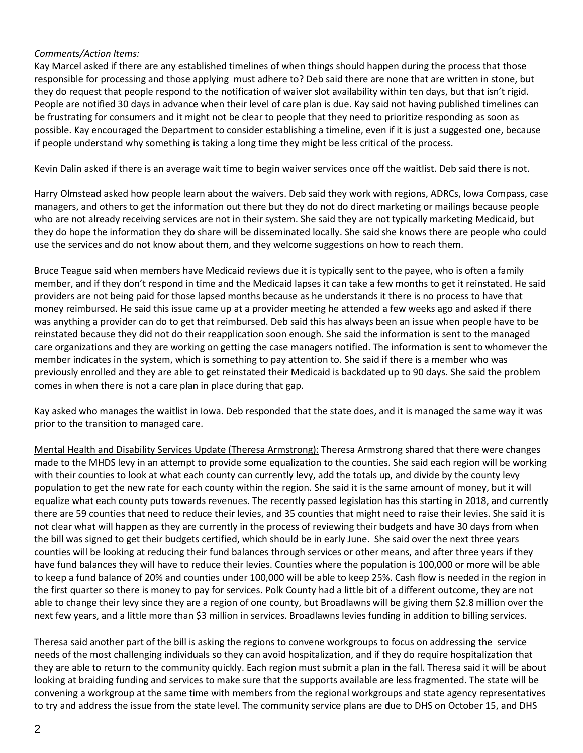## *Comments/Action Items:*

Kay Marcel asked if there are any established timelines of when things should happen during the process that those responsible for processing and those applying must adhere to? Deb said there are none that are written in stone, but they do request that people respond to the notification of waiver slot availability within ten days, but that isn't rigid. People are notified 30 days in advance when their level of care plan is due. Kay said not having published timelines can be frustrating for consumers and it might not be clear to people that they need to prioritize responding as soon as possible. Kay encouraged the Department to consider establishing a timeline, even if it is just a suggested one, because if people understand why something is taking a long time they might be less critical of the process.

Kevin Dalin asked if there is an average wait time to begin waiver services once off the waitlist. Deb said there is not.

Harry Olmstead asked how people learn about the waivers. Deb said they work with regions, ADRCs, Iowa Compass, case managers, and others to get the information out there but they do not do direct marketing or mailings because people who are not already receiving services are not in their system. She said they are not typically marketing Medicaid, but they do hope the information they do share will be disseminated locally. She said she knows there are people who could use the services and do not know about them, and they welcome suggestions on how to reach them.

Bruce Teague said when members have Medicaid reviews due it is typically sent to the payee, who is often a family member, and if they don't respond in time and the Medicaid lapses it can take a few months to get it reinstated. He said providers are not being paid for those lapsed months because as he understands it there is no process to have that money reimbursed. He said this issue came up at a provider meeting he attended a few weeks ago and asked if there was anything a provider can do to get that reimbursed. Deb said this has always been an issue when people have to be reinstated because they did not do their reapplication soon enough. She said the information is sent to the managed care organizations and they are working on getting the case managers notified. The information is sent to whomever the member indicates in the system, which is something to pay attention to. She said if there is a member who was previously enrolled and they are able to get reinstated their Medicaid is backdated up to 90 days. She said the problem comes in when there is not a care plan in place during that gap.

Kay asked who manages the waitlist in Iowa. Deb responded that the state does, and it is managed the same way it was prior to the transition to managed care.

Mental Health and Disability Services Update (Theresa Armstrong): Theresa Armstrong shared that there were changes made to the MHDS levy in an attempt to provide some equalization to the counties. She said each region will be working with their counties to look at what each county can currently levy, add the totals up, and divide by the county levy population to get the new rate for each county within the region. She said it is the same amount of money, but it will equalize what each county puts towards revenues. The recently passed legislation has this starting in 2018, and currently there are 59 counties that need to reduce their levies, and 35 counties that might need to raise their levies. She said it is not clear what will happen as they are currently in the process of reviewing their budgets and have 30 days from when the bill was signed to get their budgets certified, which should be in early June. She said over the next three years counties will be looking at reducing their fund balances through services or other means, and after three years if they have fund balances they will have to reduce their levies. Counties where the population is 100,000 or more will be able to keep a fund balance of 20% and counties under 100,000 will be able to keep 25%. Cash flow is needed in the region in the first quarter so there is money to pay for services. Polk County had a little bit of a different outcome, they are not able to change their levy since they are a region of one county, but Broadlawns will be giving them \$2.8 million over the next few years, and a little more than \$3 million in services. Broadlawns levies funding in addition to billing services.

Theresa said another part of the bill is asking the regions to convene workgroups to focus on addressing the service needs of the most challenging individuals so they can avoid hospitalization, and if they do require hospitalization that they are able to return to the community quickly. Each region must submit a plan in the fall. Theresa said it will be about looking at braiding funding and services to make sure that the supports available are less fragmented. The state will be convening a workgroup at the same time with members from the regional workgroups and state agency representatives to try and address the issue from the state level. The community service plans are due to DHS on October 15, and DHS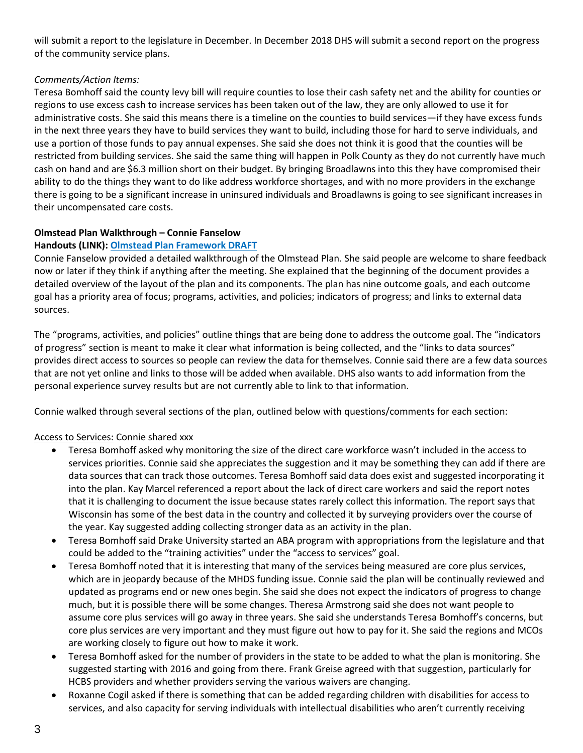will submit a report to the legislature in December. In December 2018 DHS will submit a second report on the progress of the community service plans.

## *Comments/Action Items:*

Teresa Bomhoff said the county levy bill will require counties to lose their cash safety net and the ability for counties or regions to use excess cash to increase services has been taken out of the law, they are only allowed to use it for administrative costs. She said this means there is a timeline on the counties to build services—if they have excess funds in the next three years they have to build services they want to build, including those for hard to serve individuals, and use a portion of those funds to pay annual expenses. She said she does not think it is good that the counties will be restricted from building services. She said the same thing will happen in Polk County as they do not currently have much cash on hand and are \$6.3 million short on their budget. By bringing Broadlawns into this they have compromised their ability to do the things they want to do like address workforce shortages, and with no more providers in the exchange there is going to be a significant increase in uninsured individuals and Broadlawns is going to see significant increases in their uncompensated care costs.

# **Olmstead Plan Walkthrough – Connie Fanselow**

# **Handouts (LINK): Olmstead Plan [Framework](May%20Mtg%20Materials/Olmstead%20Draft%20Framework%20MAY%202017.pdf) DRAFT**

Connie Fanselow provided a detailed walkthrough of the Olmstead Plan. She said people are welcome to share feedback now or later if they think if anything after the meeting. She explained that the beginning of the document provides a detailed overview of the layout of the plan and its components. The plan has nine outcome goals, and each outcome goal has a priority area of focus; programs, activities, and policies; indicators of progress; and links to external data sources.

The "programs, activities, and policies" outline things that are being done to address the outcome goal. The "indicators of progress" section is meant to make it clear what information is being collected, and the "links to data sources" provides direct access to sources so people can review the data for themselves. Connie said there are a few data sources that are not yet online and links to those will be added when available. DHS also wants to add information from the personal experience survey results but are not currently able to link to that information.

Connie walked through several sections of the plan, outlined below with questions/comments for each section:

## Access to Services: Connie shared xxx

- Teresa Bomhoff asked why monitoring the size of the direct care workforce wasn't included in the access to services priorities. Connie said she appreciates the suggestion and it may be something they can add if there are data sources that can track those outcomes. Teresa Bomhoff said data does exist and suggested incorporating it into the plan. Kay Marcel referenced a report about the lack of direct care workers and said the report notes that it is challenging to document the issue because states rarely collect this information. The report says that Wisconsin has some of the best data in the country and collected it by surveying providers over the course of the year. Kay suggested adding collecting stronger data as an activity in the plan.
- Teresa Bomhoff said Drake University started an ABA program with appropriations from the legislature and that could be added to the "training activities" under the "access to services" goal.
- Teresa Bomhoff noted that it is interesting that many of the services being measured are core plus services, which are in jeopardy because of the MHDS funding issue. Connie said the plan will be continually reviewed and updated as programs end or new ones begin. She said she does not expect the indicators of progress to change much, but it is possible there will be some changes. Theresa Armstrong said she does not want people to assume core plus services will go away in three years. She said she understands Teresa Bomhoff's concerns, but core plus services are very important and they must figure out how to pay for it. She said the regions and MCOs are working closely to figure out how to make it work.
- Teresa Bomhoff asked for the number of providers in the state to be added to what the plan is monitoring. She suggested starting with 2016 and going from there. Frank Greise agreed with that suggestion, particularly for HCBS providers and whether providers serving the various waivers are changing.
- Roxanne Cogil asked if there is something that can be added regarding children with disabilities for access to services, and also capacity for serving individuals with intellectual disabilities who aren't currently receiving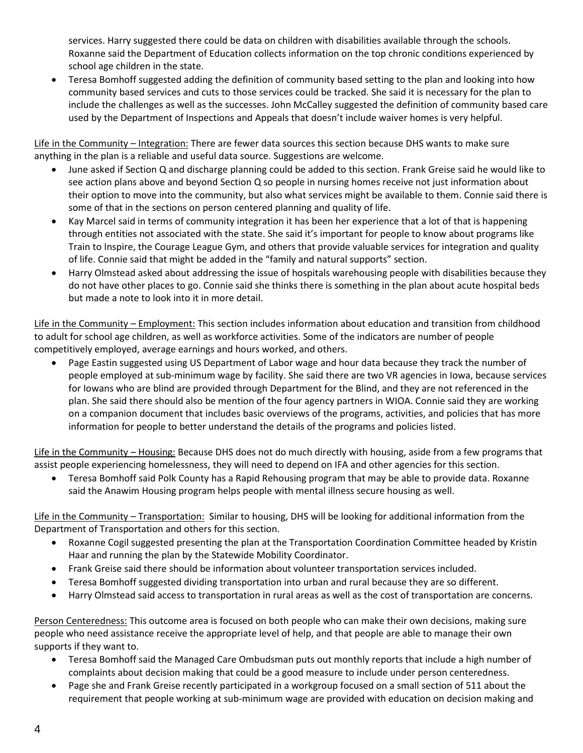services. Harry suggested there could be data on children with disabilities available through the schools. Roxanne said the Department of Education collects information on the top chronic conditions experienced by school age children in the state.

 Teresa Bomhoff suggested adding the definition of community based setting to the plan and looking into how community based services and cuts to those services could be tracked. She said it is necessary for the plan to include the challenges as well as the successes. John McCalley suggested the definition of community based care used by the Department of Inspections and Appeals that doesn't include waiver homes is very helpful.

Life in the Community – Integration: There are fewer data sources this section because DHS wants to make sure anything in the plan is a reliable and useful data source. Suggestions are welcome.

- June asked if Section Q and discharge planning could be added to this section. Frank Greise said he would like to see action plans above and beyond Section Q so people in nursing homes receive not just information about their option to move into the community, but also what services might be available to them. Connie said there is some of that in the sections on person centered planning and quality of life.
- Kay Marcel said in terms of community integration it has been her experience that a lot of that is happening through entities not associated with the state. She said it's important for people to know about programs like Train to Inspire, the Courage League Gym, and others that provide valuable services for integration and quality of life. Connie said that might be added in the "family and natural supports" section.
- Harry Olmstead asked about addressing the issue of hospitals warehousing people with disabilities because they do not have other places to go. Connie said she thinks there is something in the plan about acute hospital beds but made a note to look into it in more detail.

Life in the Community – Employment: This section includes information about education and transition from childhood to adult for school age children, as well as workforce activities. Some of the indicators are number of people competitively employed, average earnings and hours worked, and others.

 Page Eastin suggested using US Department of Labor wage and hour data because they track the number of people employed at sub-minimum wage by facility. She said there are two VR agencies in Iowa, because services for Iowans who are blind are provided through Department for the Blind, and they are not referenced in the plan. She said there should also be mention of the four agency partners in WIOA. Connie said they are working on a companion document that includes basic overviews of the programs, activities, and policies that has more information for people to better understand the details of the programs and policies listed.

Life in the Community - Housing: Because DHS does not do much directly with housing, aside from a few programs that assist people experiencing homelessness, they will need to depend on IFA and other agencies for this section.

 Teresa Bomhoff said Polk County has a Rapid Rehousing program that may be able to provide data. Roxanne said the Anawim Housing program helps people with mental illness secure housing as well.

Life in the Community – Transportation: Similar to housing, DHS will be looking for additional information from the Department of Transportation and others for this section.

- Roxanne Cogil suggested presenting the plan at the Transportation Coordination Committee headed by Kristin Haar and running the plan by the Statewide Mobility Coordinator.
- Frank Greise said there should be information about volunteer transportation services included.
- Teresa Bomhoff suggested dividing transportation into urban and rural because they are so different.
- Harry Olmstead said access to transportation in rural areas as well as the cost of transportation are concerns.

Person Centeredness: This outcome area is focused on both people who can make their own decisions, making sure people who need assistance receive the appropriate level of help, and that people are able to manage their own supports if they want to.

- Teresa Bomhoff said the Managed Care Ombudsman puts out monthly reports that include a high number of complaints about decision making that could be a good measure to include under person centeredness.
- Page she and Frank Greise recently participated in a workgroup focused on a small section of 511 about the requirement that people working at sub-minimum wage are provided with education on decision making and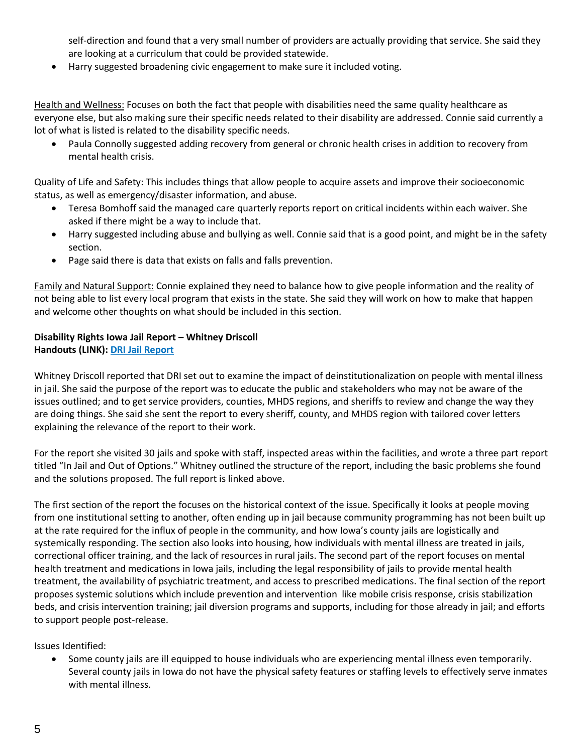self-direction and found that a very small number of providers are actually providing that service. She said they are looking at a curriculum that could be provided statewide.

Harry suggested broadening civic engagement to make sure it included voting.

Health and Wellness: Focuses on both the fact that people with disabilities need the same quality healthcare as everyone else, but also making sure their specific needs related to their disability are addressed. Connie said currently a lot of what is listed is related to the disability specific needs.

 Paula Connolly suggested adding recovery from general or chronic health crises in addition to recovery from mental health crisis.

Quality of Life and Safety: This includes things that allow people to acquire assets and improve their socioeconomic status, as well as emergency/disaster information, and abuse.

- Teresa Bomhoff said the managed care quarterly reports report on critical incidents within each waiver. She asked if there might be a way to include that.
- Harry suggested including abuse and bullying as well. Connie said that is a good point, and might be in the safety section.
- Page said there is data that exists on falls and falls prevention.

Family and Natural Support: Connie explained they need to balance how to give people information and the reality of not being able to list every local program that exists in the state. She said they will work on how to make that happen and welcome other thoughts on what should be included in this section.

## **Disability Rights Iowa Jail Report – Whitney Driscoll Handouts (LINK): DRI Jail [Report](http://disabilityrightsiowa.org/wp-content/uploads/Jail-Project-Report-FINAL-Compilation-PDF.pdf)**

Whitney Driscoll reported that DRI set out to examine the impact of deinstitutionalization on people with mental illness in jail. She said the purpose of the report was to educate the public and stakeholders who may not be aware of the issues outlined; and to get service providers, counties, MHDS regions, and sheriffs to review and change the way they are doing things. She said she sent the report to every sheriff, county, and MHDS region with tailored cover letters explaining the relevance of the report to their work.

For the report she visited 30 jails and spoke with staff, inspected areas within the facilities, and wrote a three part report titled "In Jail and Out of Options." Whitney outlined the structure of the report, including the basic problems she found and the solutions proposed. The full report is linked above.

The first section of the report the focuses on the historical context of the issue. Specifically it looks at people moving from one institutional setting to another, often ending up in jail because community programming has not been built up at the rate required for the influx of people in the community, and how Iowa's county jails are logistically and systemically responding. The section also looks into housing, how individuals with mental illness are treated in jails, correctional officer training, and the lack of resources in rural jails. The second part of the report focuses on mental health treatment and medications in Iowa jails, including the legal responsibility of jails to provide mental health treatment, the availability of psychiatric treatment, and access to prescribed medications. The final section of the report proposes systemic solutions which include prevention and intervention like mobile crisis response, crisis stabilization beds, and crisis intervention training; jail diversion programs and supports, including for those already in jail; and efforts to support people post-release.

Issues Identified:

 Some county jails are ill equipped to house individuals who are experiencing mental illness even temporarily. Several county jails in Iowa do not have the physical safety features or staffing levels to effectively serve inmates with mental illness.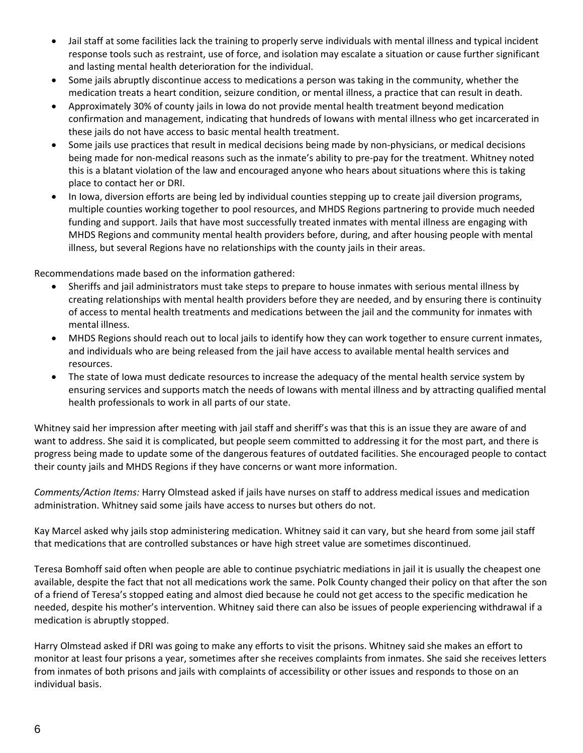- Jail staff at some facilities lack the training to properly serve individuals with mental illness and typical incident response tools such as restraint, use of force, and isolation may escalate a situation or cause further significant and lasting mental health deterioration for the individual.
- Some jails abruptly discontinue access to medications a person was taking in the community, whether the medication treats a heart condition, seizure condition, or mental illness, a practice that can result in death.
- Approximately 30% of county jails in Iowa do not provide mental health treatment beyond medication confirmation and management, indicating that hundreds of Iowans with mental illness who get incarcerated in these jails do not have access to basic mental health treatment.
- Some jails use practices that result in medical decisions being made by non-physicians, or medical decisions being made for non-medical reasons such as the inmate's ability to pre-pay for the treatment. Whitney noted this is a blatant violation of the law and encouraged anyone who hears about situations where this is taking place to contact her or DRI.
- In Iowa, diversion efforts are being led by individual counties stepping up to create jail diversion programs, multiple counties working together to pool resources, and MHDS Regions partnering to provide much needed funding and support. Jails that have most successfully treated inmates with mental illness are engaging with MHDS Regions and community mental health providers before, during, and after housing people with mental illness, but several Regions have no relationships with the county jails in their areas.

Recommendations made based on the information gathered:

- Sheriffs and jail administrators must take steps to prepare to house inmates with serious mental illness by creating relationships with mental health providers before they are needed, and by ensuring there is continuity of access to mental health treatments and medications between the jail and the community for inmates with mental illness.
- MHDS Regions should reach out to local jails to identify how they can work together to ensure current inmates, and individuals who are being released from the jail have access to available mental health services and resources.
- The state of Iowa must dedicate resources to increase the adequacy of the mental health service system by ensuring services and supports match the needs of Iowans with mental illness and by attracting qualified mental health professionals to work in all parts of our state.

Whitney said her impression after meeting with jail staff and sheriff's was that this is an issue they are aware of and want to address. She said it is complicated, but people seem committed to addressing it for the most part, and there is progress being made to update some of the dangerous features of outdated facilities. She encouraged people to contact their county jails and MHDS Regions if they have concerns or want more information.

*Comments/Action Items:* Harry Olmstead asked if jails have nurses on staff to address medical issues and medication administration. Whitney said some jails have access to nurses but others do not.

Kay Marcel asked why jails stop administering medication. Whitney said it can vary, but she heard from some jail staff that medications that are controlled substances or have high street value are sometimes discontinued.

Teresa Bomhoff said often when people are able to continue psychiatric mediations in jail it is usually the cheapest one available, despite the fact that not all medications work the same. Polk County changed their policy on that after the son of a friend of Teresa's stopped eating and almost died because he could not get access to the specific medication he needed, despite his mother's intervention. Whitney said there can also be issues of people experiencing withdrawal if a medication is abruptly stopped.

Harry Olmstead asked if DRI was going to make any efforts to visit the prisons. Whitney said she makes an effort to monitor at least four prisons a year, sometimes after she receives complaints from inmates. She said she receives letters from inmates of both prisons and jails with complaints of accessibility or other issues and responds to those on an individual basis.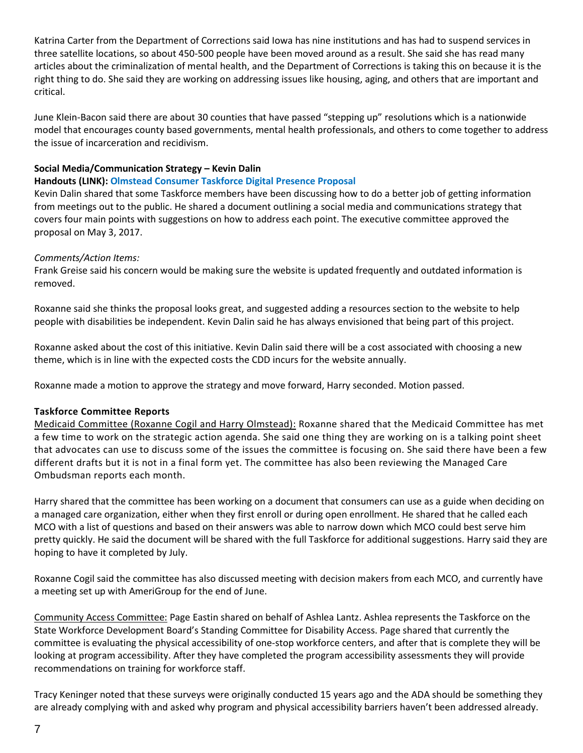Katrina Carter from the Department of Corrections said Iowa has nine institutions and has had to suspend services in three satellite locations, so about 450-500 people have been moved around as a result. She said she has read many articles about the criminalization of mental health, and the Department of Corrections is taking this on because it is the right thing to do. She said they are working on addressing issues like housing, aging, and others that are important and critical.

June Klein-Bacon said there are about 30 counties that have passed "stepping up" resolutions which is a nationwide model that encourages county based governments, mental health professionals, and others to come together to address the issue of incarceration and recidivism.

## **Social Media/Communication Strategy – Kevin Dalin**

## **Handouts (LINK): Olmstead Consumer Taskforce Digital Presence Proposal**

Kevin Dalin shared that some Taskforce members have been discussing how to do a better job of getting information from meetings out to the public. He shared a document outlining a social media and communications strategy that covers four main points with suggestions on how to address each point. The executive committee approved the proposal on May 3, 2017.

## *Comments/Action Items:*

Frank Greise said his concern would be making sure the website is updated frequently and outdated information is removed.

Roxanne said she thinks the proposal looks great, and suggested adding a resources section to the website to help people with disabilities be independent. Kevin Dalin said he has always envisioned that being part of this project.

Roxanne asked about the cost of this initiative. Kevin Dalin said there will be a cost associated with choosing a new theme, which is in line with the expected costs the CDD incurs for the website annually.

Roxanne made a motion to approve the strategy and move forward, Harry seconded. Motion passed.

## **Taskforce Committee Reports**

Medicaid Committee (Roxanne Cogil and Harry Olmstead): Roxanne shared that the Medicaid Committee has met a few time to work on the strategic action agenda. She said one thing they are working on is a talking point sheet that advocates can use to discuss some of the issues the committee is focusing on. She said there have been a few different drafts but it is not in a final form yet. The committee has also been reviewing the Managed Care Ombudsman reports each month.

Harry shared that the committee has been working on a document that consumers can use as a guide when deciding on a managed care organization, either when they first enroll or during open enrollment. He shared that he called each MCO with a list of questions and based on their answers was able to narrow down which MCO could best serve him pretty quickly. He said the document will be shared with the full Taskforce for additional suggestions. Harry said they are hoping to have it completed by July.

Roxanne Cogil said the committee has also discussed meeting with decision makers from each MCO, and currently have a meeting set up with AmeriGroup for the end of June.

Community Access Committee: Page Eastin shared on behalf of Ashlea Lantz. Ashlea represents the Taskforce on the State Workforce Development Board's Standing Committee for Disability Access. Page shared that currently the committee is evaluating the physical accessibility of one-stop workforce centers, and after that is complete they will be looking at program accessibility. After they have completed the program accessibility assessments they will provide recommendations on training for workforce staff.

Tracy Keninger noted that these surveys were originally conducted 15 years ago and the ADA should be something they are already complying with and asked why program and physical accessibility barriers haven't been addressed already.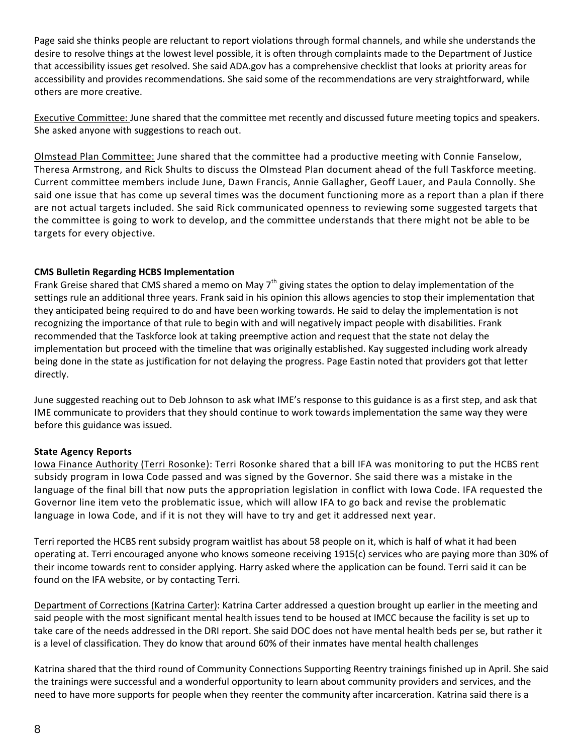Page said she thinks people are reluctant to report violations through formal channels, and while she understands the desire to resolve things at the lowest level possible, it is often through complaints made to the Department of Justice that accessibility issues get resolved. She said ADA.gov has a comprehensive checklist that looks at priority areas for accessibility and provides recommendations. She said some of the recommendations are very straightforward, while others are more creative.

Executive Committee: June shared that the committee met recently and discussed future meeting topics and speakers. She asked anyone with suggestions to reach out.

Olmstead Plan Committee: June shared that the committee had a productive meeting with Connie Fanselow, Theresa Armstrong, and Rick Shults to discuss the Olmstead Plan document ahead of the full Taskforce meeting. Current committee members include June, Dawn Francis, Annie Gallagher, Geoff Lauer, and Paula Connolly. She said one issue that has come up several times was the document functioning more as a report than a plan if there are not actual targets included. She said Rick communicated openness to reviewing some suggested targets that the committee is going to work to develop, and the committee understands that there might not be able to be targets for every objective.

## **CMS Bulletin Regarding HCBS Implementation**

Frank Greise shared that CMS shared a memo on May 7<sup>th</sup> giving states the option to delay implementation of the settings rule an additional three years. Frank said in his opinion this allows agencies to stop their implementation that they anticipated being required to do and have been working towards. He said to delay the implementation is not recognizing the importance of that rule to begin with and will negatively impact people with disabilities. Frank recommended that the Taskforce look at taking preemptive action and request that the state not delay the implementation but proceed with the timeline that was originally established. Kay suggested including work already being done in the state as justification for not delaying the progress. Page Eastin noted that providers got that letter directly.

June suggested reaching out to Deb Johnson to ask what IME's response to this guidance is as a first step, and ask that IME communicate to providers that they should continue to work towards implementation the same way they were before this guidance was issued.

## **State Agency Reports**

Iowa Finance Authority (Terri Rosonke): Terri Rosonke shared that a bill IFA was monitoring to put the HCBS rent subsidy program in Iowa Code passed and was signed by the Governor. She said there was a mistake in the language of the final bill that now puts the appropriation legislation in conflict with Iowa Code. IFA requested the Governor line item veto the problematic issue, which will allow IFA to go back and revise the problematic language in Iowa Code, and if it is not they will have to try and get it addressed next year.

Terri reported the HCBS rent subsidy program waitlist has about 58 people on it, which is half of what it had been operating at. Terri encouraged anyone who knows someone receiving 1915(c) services who are paying more than 30% of their income towards rent to consider applying. Harry asked where the application can be found. Terri said it can be found on the IFA website, or by contacting Terri.

Department of Corrections (Katrina Carter): Katrina Carter addressed a question brought up earlier in the meeting and said people with the most significant mental health issues tend to be housed at IMCC because the facility is set up to take care of the needs addressed in the DRI report. She said DOC does not have mental health beds per se, but rather it is a level of classification. They do know that around 60% of their inmates have mental health challenges

Katrina shared that the third round of Community Connections Supporting Reentry trainings finished up in April. She said the trainings were successful and a wonderful opportunity to learn about community providers and services, and the need to have more supports for people when they reenter the community after incarceration. Katrina said there is a